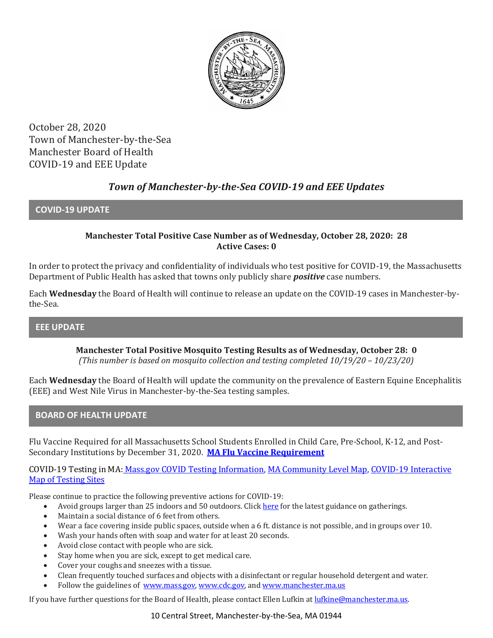

October 28, 2020 Town of Manchester-by-the-Sea Manchester Board of Health COVID-19 and EEE Update

# *Town of Manchester-by-the-Sea COVID-19 and EEE Updates*

### **COVID-19 UPDATE**

### **Manchester Total Positive Case Number as of Wednesday, October 28, 2020: 28 Active Cases: 0**

In order to protect the privacy and confidentiality of individuals who test positive for COVID-19, the Massachusetts Department of Public Health has asked that towns only publicly share *positive* case numbers.

Each **Wednesday** the Board of Health will continue to release an update on the COVID-19 cases in Manchester-bythe-Sea.

**EEE UPDATE**

**Manchester Total Positive Mosquito Testing Results as of Wednesday, October 28: 0** *(This number is based on mosquito collection and testing completed 10/19/20 – 10/23/20)*

Each **Wednesday** the Board of Health will update the community on the prevalence of Eastern Equine Encephalitis (EEE) and West Nile Virus in Manchester-by-the-Sea testing samples.

### **BOARD OF HEALTH UPDATE**

Flu Vaccine Required for all Massachusetts School Students Enrolled in Child Care, Pre-School, K-12, and Post-Secondary Institutions by December 31, 2020. **[MA Flu Vaccine Requirement](https://www.mass.gov/news/flu-vaccine-now-required-for-all-massachusetts-school-students-enrolled-in-child-care-pre)**

COVID-19 Testing in MA: [Mass.gov COVID Testing Information,](https://www.mass.gov/covid-19-testing) [MA Community Level Map,](https://www.mass.gov/info-details/community-level-covid-19-data-reporting) [COVID-19 Interactive](https://memamaps.maps.arcgis.com/apps/webappviewer/index.html?id=eba3f0395451430b9f631cb095febf13)  [Map of Testing Sites](https://memamaps.maps.arcgis.com/apps/webappviewer/index.html?id=eba3f0395451430b9f631cb095febf13)

Please continue to practice the following preventive actions for COVID-19:

- Avoid groups larger than 25 indoors and 50 outdoors. Clic[k here](https://www.mass.gov/info-details/safety-standards-and-checklist-indoor-and-outdoor-events) for the latest guidance on gatherings.
- Maintain a social distance of 6 feet from others.
- Wear a face covering inside public spaces, outside when a 6 ft. distance is not possible, and in groups over 10.
- Wash your hands often with soap and water for at least 20 seconds.
- Avoid close contact with people who are sick.
- Stay home when you are sick, except to get medical care.
- Cover your coughs and sneezes with a tissue.
- Clean frequently touched surfaces and objects with a disinfectant or regular household detergent and water.
- Follow the guidelines of [www.mass.gov,](https://www.mass.gov/) [www.cdc.gov,](https://www.cdc.gov/) an[d www.manchester.ma.us](http://www.manchester.ma.us/)

If you have further questions for the Board of Health, please contact Ellen Lufkin a[t lufkine@manchester.ma.us.](mailto:lufkine@manchester.ma.us)

10 Central Street, Manchester-by-the-Sea, MA 01944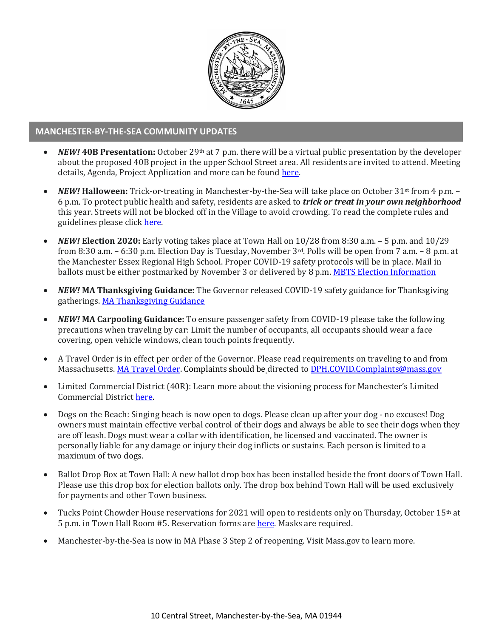

#### **MANCHESTER-BY-THE-SEA COMMUNITY UPDATES**

- *NEW!* **40B Presentation:** October 29th at 7 p.m. there will be a virtual public presentation by the developer about the proposed 40B project in the upper School Street area. All residents are invited to attend. Meeting details, Agenda, Project Application and more can be found here.
- *NEW!* **Halloween:** Trick-or-treating in Manchester-by-the-Sea will take place on October 31st from 4 p.m. 6 p.m. To protect public health and safety, residents are asked to *trick or treat in your own neighborhood*  this year. Streets will not be blocked off in the Village to avoid crowding. To read the complete rules and guidelines please click [here.](http://manchester.ma.us/CivicAlerts.aspx?AID=248)
- *NEW!* **Election 2020:** Early voting takes place at Town Hall on 10/28 from 8:30 a.m. 5 p.m. and 10/29 from 8:30 a.m. – 6:30 p.m. Election Day is Tuesday, November 3rd. Polls will be open from 7 a.m. – 8 p.m. at the Manchester Essex Regional High School. Proper COVID-19 safety protocols will be in place. Mail in ballots must be either postmarked by November 3 or delivered by 8 p.m. [MBTS Election Information](http://manchester.ma.us/503/Town-Meetings-and-Elections)
- *NEW!* **MA Thanksgiving Guidance:** The Governor released COVID-19 safety guidance for Thanksgiving gatherings[. MA Thanksgiving Guidance](https://www.mass.gov/news/thanksgiving-during-covid-19)
- *NEW!* **MA Carpooling Guidance:** To ensure passenger safety from COVID-19 please take the following precautions when traveling by car: Limit the number of occupants, all occupants should wear a face covering, open vehicle windows, clean touch points frequently.
- A Travel Order is in effect per order of the Governor. Please read requirements on traveling to and from Massachusetts. [MA Travel Order.](https://www.mass.gov/info-details/covid-19-travel-order) Complaints should be directed to [DPH.COVID.Complaints@mass.gov](mailto:DPH.COVID.Complaints@mass.gov)
- Limited Commercial District (40R): Learn more about the visioning process for Manchester's Limited Commercial District [here.](http://ma-manchesterbythesea.civicplus.com/731/40RLCD-Study)
- Dogs on the Beach: Singing beach is now open to dogs. Please clean up after your dog no excuses! Dog owners must maintain effective verbal control of their dogs and always be able to see their dogs when they are off leash. Dogs must wear a collar with identification, be licensed and vaccinated. The owner is personally liable for any damage or injury their dog inflicts or sustains. Each person is limited to a maximum of two dogs.
- Ballot Drop Box at Town Hall: A new ballot drop box has been installed beside the front doors of Town Hall. Please use this drop box for election ballots only. The drop box behind Town Hall will be used exclusively for payments and other Town business.
- Tucks Point Chowder House reservations for 2021 will open to residents only on Thursday, October 15th at 5 p.m. in Town Hall Room #5. Reservation forms ar[e here.](http://ma-manchesterbythesea.civicplus.com/DocumentCenter/View/3402/2021-Chowder-House-Application?bidId=) Masks are required.
- Manchester-by-the-Sea is now in MA Phase 3 Step 2 of reopening. Visit Mass.gov to learn more.